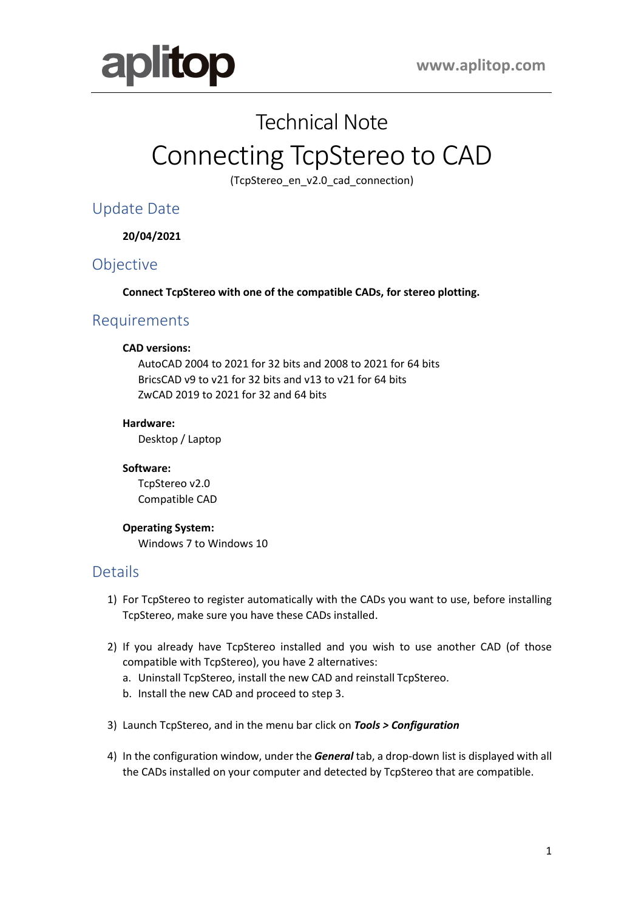

## Technical Note

# Connecting TcpStereo to CAD

(TcpStereo\_en\_v2.0\_cad\_connection)

Update Date

**20/04/2021**

## **Objective**

**Connect TcpStereo with one of the compatible CADs, for stereo plotting.**

## Requirements

#### **CAD versions:**

AutoCAD 2004 to 2021 for 32 bits and 2008 to 2021 for 64 bits BricsCAD v9 to v21 for 32 bits and v13 to v21 for 64 bits ZwCAD 2019 to 2021 for 32 and 64 bits

#### **Hardware:**

Desktop / Laptop

#### **Software:**

TcpStereo v2.0 Compatible CAD

#### **Operating System:**

Windows 7 to Windows 10

### **Details**

- 1) For TcpStereo to register automatically with the CADs you want to use, before installing TcpStereo, make sure you have these CADs installed.
- 2) If you already have TcpStereo installed and you wish to use another CAD (of those compatible with TcpStereo), you have 2 alternatives:
	- a. Uninstall TcpStereo, install the new CAD and reinstall TcpStereo.
	- b. Install the new CAD and proceed to step 3.
- 3) Launch TcpStereo, and in the menu bar click on *Tools > Configuration*
- 4) In the configuration window, under the *General* tab, a drop-down list is displayed with all the CADs installed on your computer and detected by TcpStereo that are compatible.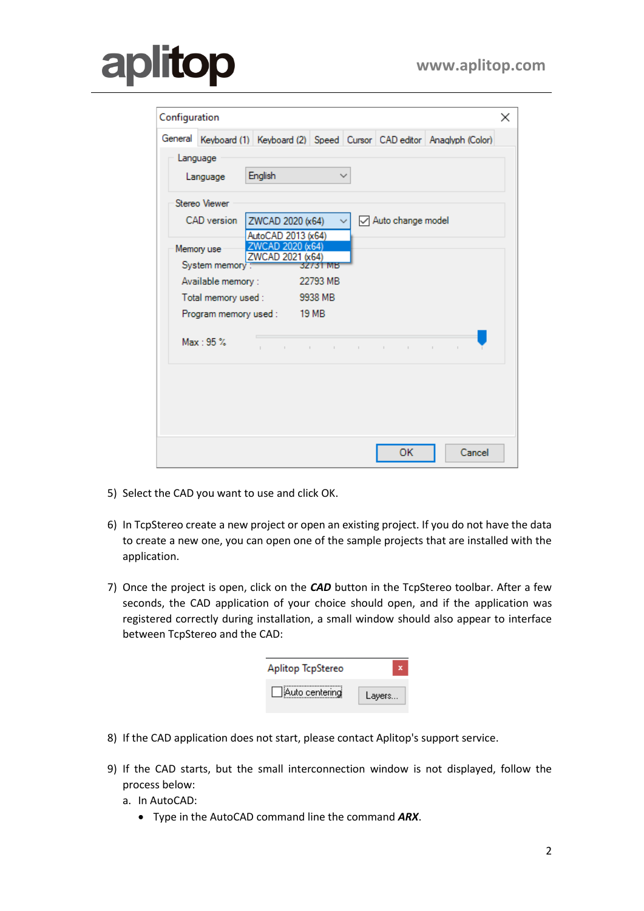## **plitop a**

| Configuration                                               |                |                                        |                          |              |                            | ×                                                                          |  |
|-------------------------------------------------------------|----------------|----------------------------------------|--------------------------|--------------|----------------------------|----------------------------------------------------------------------------|--|
|                                                             |                |                                        |                          |              |                            | General Keyboard (1) Keyboard (2) Speed Cursor CAD editor Anaglyph (Color) |  |
|                                                             | Language       |                                        |                          |              |                            |                                                                            |  |
|                                                             | Language       | English                                |                          | $\checkmark$ |                            |                                                                            |  |
|                                                             | Stereo Viewer  |                                        |                          |              |                            |                                                                            |  |
| <b>CAD</b> version<br>Auto change model<br>ZWCAD 2020 (x64) |                |                                        |                          |              |                            |                                                                            |  |
|                                                             | Memory use     | AutoCAD 2013 (x64)<br>ZWCAD 2020 (x64) |                          |              |                            |                                                                            |  |
|                                                             | System memory: | ZWCAD 2021 (x64)                       | 32731 MB                 |              |                            |                                                                            |  |
| Available memory:                                           |                |                                        | 22793 MB                 |              |                            |                                                                            |  |
| 9938 MB<br>Total memory used :                              |                |                                        |                          |              |                            |                                                                            |  |
|                                                             |                | Program memory used: 19 MB             |                          |              |                            |                                                                            |  |
|                                                             | Max: 95%       | $\sim$ 1 $\,$<br>$\mathbb{R}^n$        | $\sim 10^{-1}$<br>$\sim$ | $\mathbb{R}$ | $\mathbb{R}^n$ .<br>$\sim$ | $\mathbb{I}$<br>$\mathbb{I}$                                               |  |
|                                                             |                |                                        |                          |              |                            |                                                                            |  |
|                                                             |                |                                        |                          |              |                            |                                                                            |  |
|                                                             |                |                                        |                          |              |                            |                                                                            |  |
|                                                             |                |                                        |                          |              | OK                         | Cancel                                                                     |  |
|                                                             |                |                                        |                          |              |                            |                                                                            |  |

- 5) Select the CAD you want to use and click OK.
- 6) In TcpStereo create a new project or open an existing project. If you do not have the data to create a new one, you can open one of the sample projects that are installed with the application.
- 7) Once the project is open, click on the *CAD* button in the TcpStereo toolbar. After a few seconds, the CAD application of your choice should open, and if the application was registered correctly during installation, a small window should also appear to interface between TcpStereo and the CAD:

| Aplitop TcpStereo |        |
|-------------------|--------|
| Auto centering    | Layers |

- 8) If the CAD application does not start, please contact Aplitop's support service.
- 9) If the CAD starts, but the small interconnection window is not displayed, follow the process below:
	- a. In AutoCAD:
		- Type in the AutoCAD command line the command *ARX*.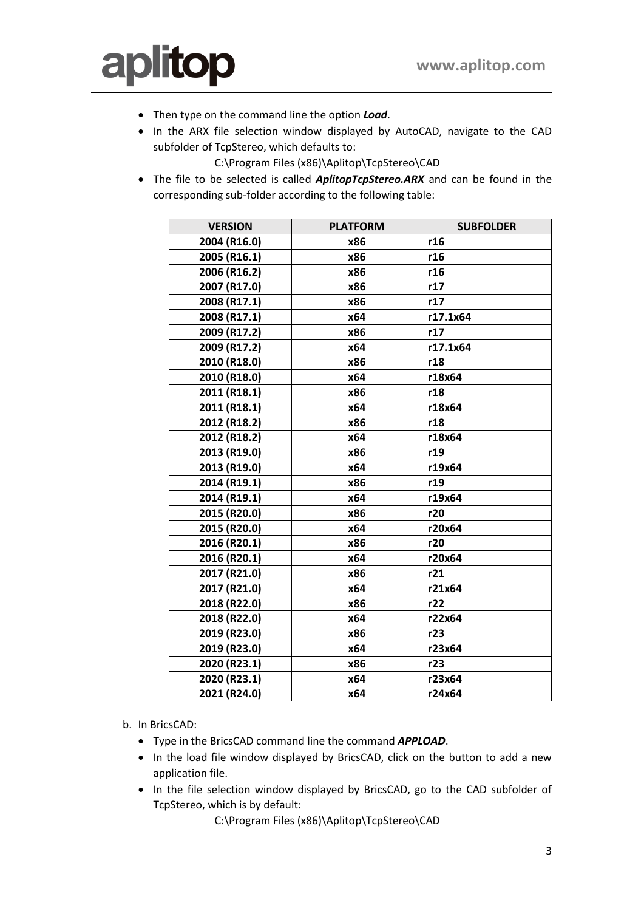

- Then type on the command line the option *Load*.
- In the ARX file selection window displayed by AutoCAD, navigate to the CAD subfolder of TcpStereo, which defaults to:

C:\Program Files (x86)\Aplitop\TcpStereo\CAD

• The file to be selected is called *AplitopTcpStereo.ARX* and can be found in the corresponding sub-folder according to the following table:

| <b>VERSION</b> | <b>PLATFORM</b> | <b>SUBFOLDER</b> |
|----------------|-----------------|------------------|
| 2004 (R16.0)   | x86             | r16              |
| 2005 (R16.1)   | x86             | r16              |
| 2006 (R16.2)   | x86             | r16              |
| 2007 (R17.0)   | x86             | r17              |
| 2008 (R17.1)   | x86             | r17              |
| 2008 (R17.1)   | x64             | r17.1x64         |
| 2009 (R17.2)   | x86             | r17              |
| 2009 (R17.2)   | x64             | r17.1x64         |
| 2010 (R18.0)   | x86             | r18              |
| 2010 (R18.0)   | x64             | r18x64           |
| 2011 (R18.1)   | x86             | r18              |
| 2011 (R18.1)   | x64             | r18x64           |
| 2012 (R18.2)   | x86             | r18              |
| 2012 (R18.2)   | x64             | r18x64           |
| 2013 (R19.0)   | x86             | r19              |
| 2013 (R19.0)   | x64             | r19x64           |
| 2014 (R19.1)   | x86             | r19              |
| 2014 (R19.1)   | x64             | r19x64           |
| 2015 (R20.0)   | x86             | r20              |
| 2015 (R20.0)   | x64             | r20x64           |
| 2016 (R20.1)   | x86             | r20              |
| 2016 (R20.1)   | x64             | r20x64           |
| 2017 (R21.0)   | x86             | r21              |
| 2017 (R21.0)   | x64             | r21x64           |
| 2018 (R22.0)   | x86             | r22              |
| 2018 (R22.0)   | x64             | r22x64           |
| 2019 (R23.0)   | x86             | r23              |
| 2019 (R23.0)   | x64             | r23x64           |
| 2020 (R23.1)   | x86             | r23              |
| 2020 (R23.1)   | x64             | r23x64           |
| 2021 (R24.0)   | x64             | r24x64           |

b. In BricsCAD:

- Type in the BricsCAD command line the command *APPLOAD*.
- In the load file window displayed by BricsCAD, click on the button to add a new application file.
- In the file selection window displayed by BricsCAD, go to the CAD subfolder of TcpStereo, which is by default:

C:\Program Files (x86)\Aplitop\TcpStereo\CAD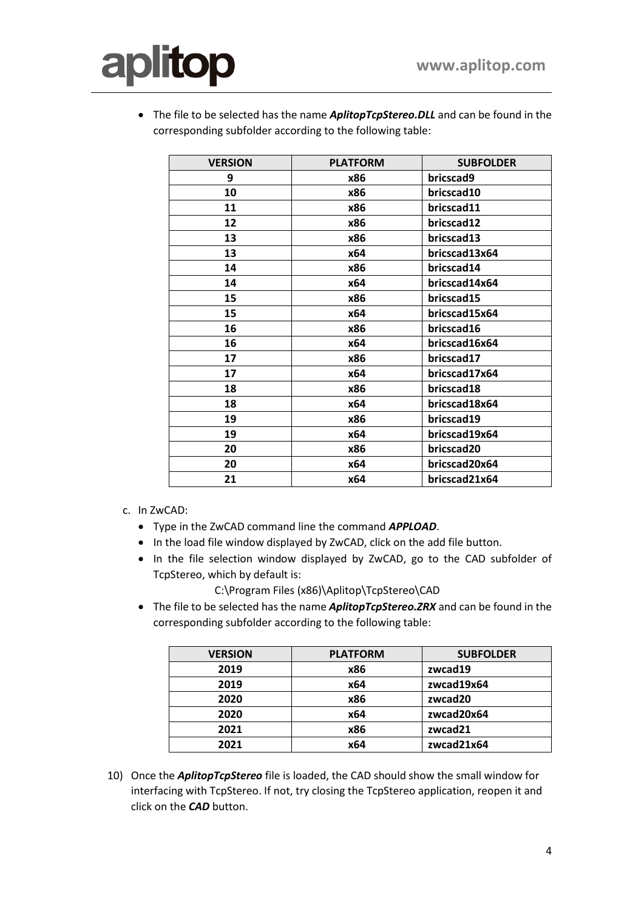

• The file to be selected has the name *AplitopTcpStereo.DLL* and can be found in the corresponding subfolder according to the following table:

| <b>VERSION</b> | <b>PLATFORM</b> | <b>SUBFOLDER</b> |
|----------------|-----------------|------------------|
| 9              | x86             | bricscad9        |
| 10             | x86             | bricscad10       |
| 11             | x86             | bricscad11       |
| 12             | x86             | bricscad12       |
| 13             | x86             | bricscad13       |
| 13             | x64             | bricscad13x64    |
| 14             | x86             | bricscad14       |
| 14             | x64             | bricscad14x64    |
| 15             | x86             | bricscad15       |
| 15             | x64             | bricscad15x64    |
| 16             | x86             | bricscad16       |
| 16             | x64             | bricscad16x64    |
| 17             | x86             | bricscad17       |
| 17             | x64             | bricscad17x64    |
| 18             | x86             | bricscad18       |
| 18             | x64             | bricscad18x64    |
| 19             | x86             | bricscad19       |
| 19             | x64             | bricscad19x64    |
| 20             | x86             | bricscad20       |
| 20             | x64             | bricscad20x64    |
| 21             | x64             | bricscad21x64    |

- c. In ZwCAD:
	- Type in the ZwCAD command line the command *APPLOAD*.
	- In the load file window displayed by ZwCAD, click on the add file button.
	- In the file selection window displayed by ZwCAD, go to the CAD subfolder of TcpStereo, which by default is:

C:\Program Files (x86)\Aplitop\TcpStereo\CAD

• The file to be selected has the name *AplitopTcpStereo.ZRX* and can be found in the corresponding subfolder according to the following table:

| <b>VERSION</b> | <b>PLATFORM</b> | <b>SUBFOLDER</b> |
|----------------|-----------------|------------------|
| 2019           | x86             | zwcad19          |
| 2019           | x64             | zwcad19x64       |
| 2020           | x86             | zwcad20          |
| 2020           | x64             | zwcad20x64       |
| 2021           | x86             | zwcad21          |
| 2021           | x64             | zwcad21x64       |

10) Once the *AplitopTcpStereo* file is loaded, the CAD should show the small window for interfacing with TcpStereo. If not, try closing the TcpStereo application, reopen it and click on the *CAD* button.